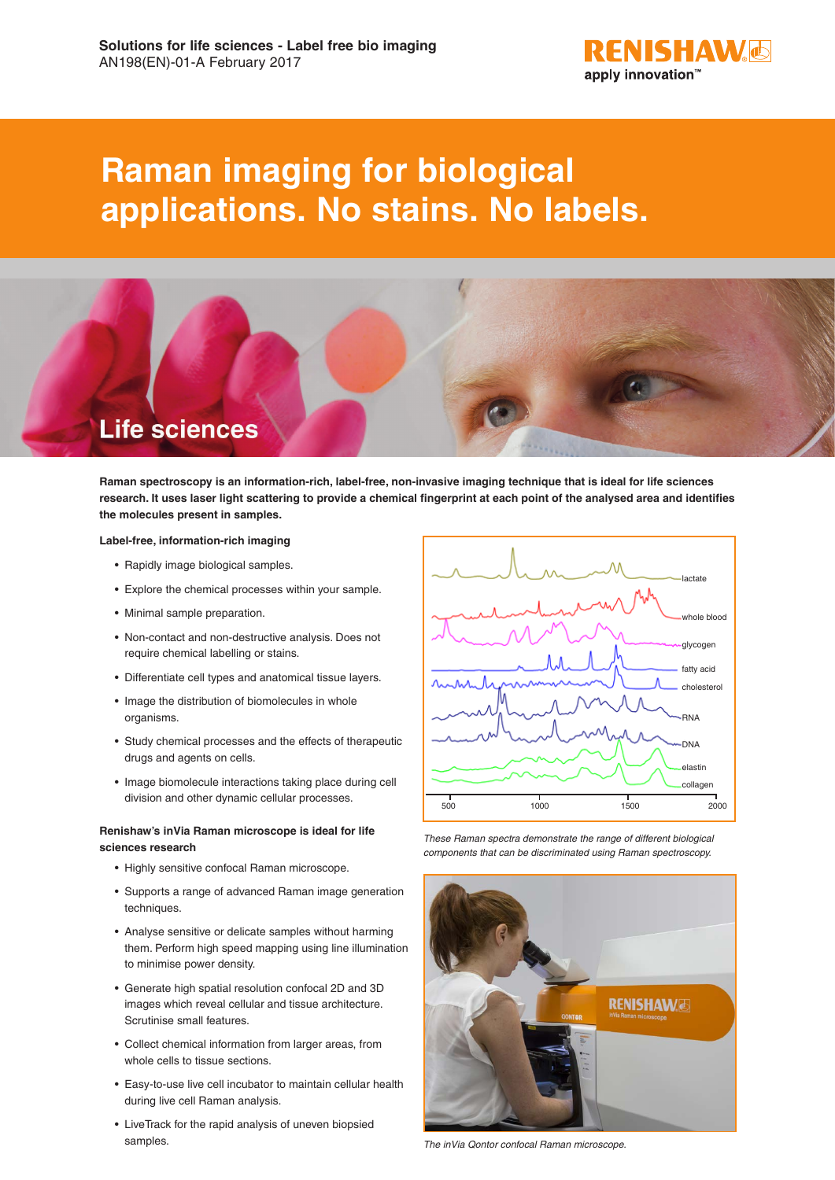

# **Raman imaging for biological applications. No stains. No labels.**



**Raman spectroscopy is an information-rich, label-free, non-invasive imaging technique that is ideal for life sciences research. It uses laser light scattering to provide a chemical fingerprint at each point of the analysed area and identifies the molecules present in samples.**

#### **Label-free, information-rich imaging**

- Rapidly image biological samples.
- Explore the chemical processes within your sample.
- Minimal sample preparation.
- Non-contact and non-destructive analysis. Does not require chemical labelling or stains.
- Differentiate cell types and anatomical tissue layers.
- Image the distribution of biomolecules in whole organisms.
- Study chemical processes and the effects of therapeutic drugs and agents on cells.
- Image biomolecule interactions taking place during cell division and other dynamic cellular processes.

## **Renishaw's inVia Raman microscope is ideal for life sciences research**

- Highly sensitive confocal Raman microscope.
- Supports a range of advanced Raman image generation techniques.
- Analyse sensitive or delicate samples without harming them. Perform high speed mapping using line illumination to minimise power density.
- Generate high spatial resolution confocal 2D and 3D images which reveal cellular and tissue architecture. Scrutinise small features.
- Collect chemical information from larger areas, from whole cells to tissue sections.
- Easy-to-use live cell incubator to maintain cellular health during live cell Raman analysis.
- LiveTrack for the rapid analysis of uneven biopsied samples.



*These Raman spectra demonstrate the range of different biological components that can be discriminated using Raman spectroscopy.*



*The inVia Qontor confocal Raman microscope.*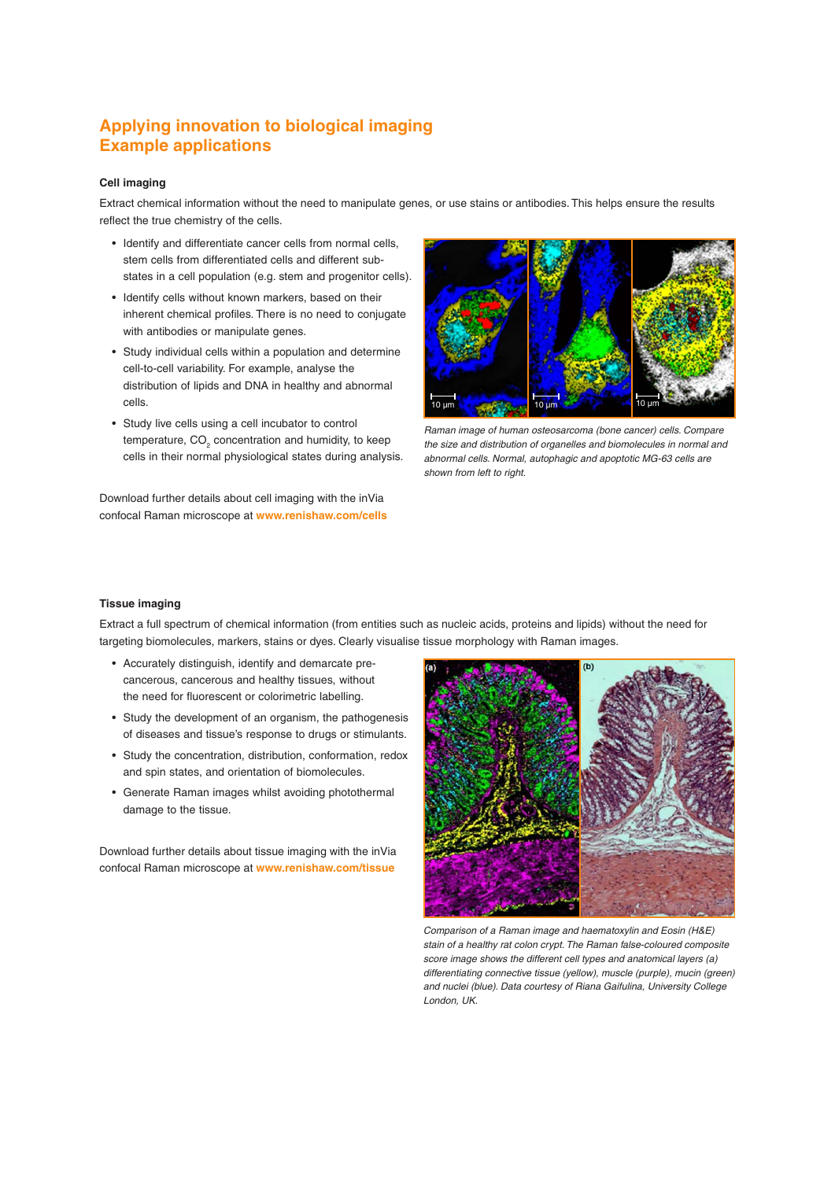# **Applying innovation to biological imaging Example applications**

### **Cell imaging**

Extract chemical information without the need to manipulate genes, or use stains or antibodies. This helps ensure the results reflect the true chemistry of the cells.

- Identify and differentiate cancer cells from normal cells, stem cells from differentiated cells and different substates in a cell population (e.g. stem and progenitor cells).
- Identify cells without known markers, based on their inherent chemical profiles. There is no need to conjugate with antibodies or manipulate genes.
- Study individual cells within a population and determine cell-to-cell variability. For example, analyse the distribution of lipids and DNA in healthy and abnormal cells.
- Study live cells using a cell incubator to control temperature,  $\mathsf{CO}_2$  concentration and humidity, to keep cells in their normal physiological states during analysis.

Download further details about cell imaging with the inVia confocal Raman microscope at **www.renishaw.com/cells**



*Raman image of human osteosarcoma (bone cancer) cells. Compare the size and distribution of organelles and biomolecules in normal and abnormal cells. Normal, autophagic and apoptotic MG-63 cells are shown from left to right.*

#### **Tissue imaging**

Extract a full spectrum of chemical information (from entities such as nucleic acids, proteins and lipids) without the need for targeting biomolecules, markers, stains or dyes. Clearly visualise tissue morphology with Raman images.

- Accurately distinguish, identify and demarcate precancerous, cancerous and healthy tissues, without the need for fluorescent or colorimetric labelling.
- Study the development of an organism, the pathogenesis of diseases and tissue's response to drugs or stimulants.
- Study the concentration, distribution, conformation, redox and spin states, and orientation of biomolecules.
- Generate Raman images whilst avoiding photothermal damage to the tissue.

Download further details about tissue imaging with the inVia confocal Raman microscope at **www.renishaw.com/tissue**



*Comparison of a Raman image and haematoxylin and Eosin (H&E) stain of a healthy rat colon crypt. The Raman false-coloured composite score image shows the different cell types and anatomical layers (a) differentiating connective tissue (yellow), muscle (purple), mucin (green) and nuclei (blue). Data courtesy of Riana Gaifulina, University College London, UK.*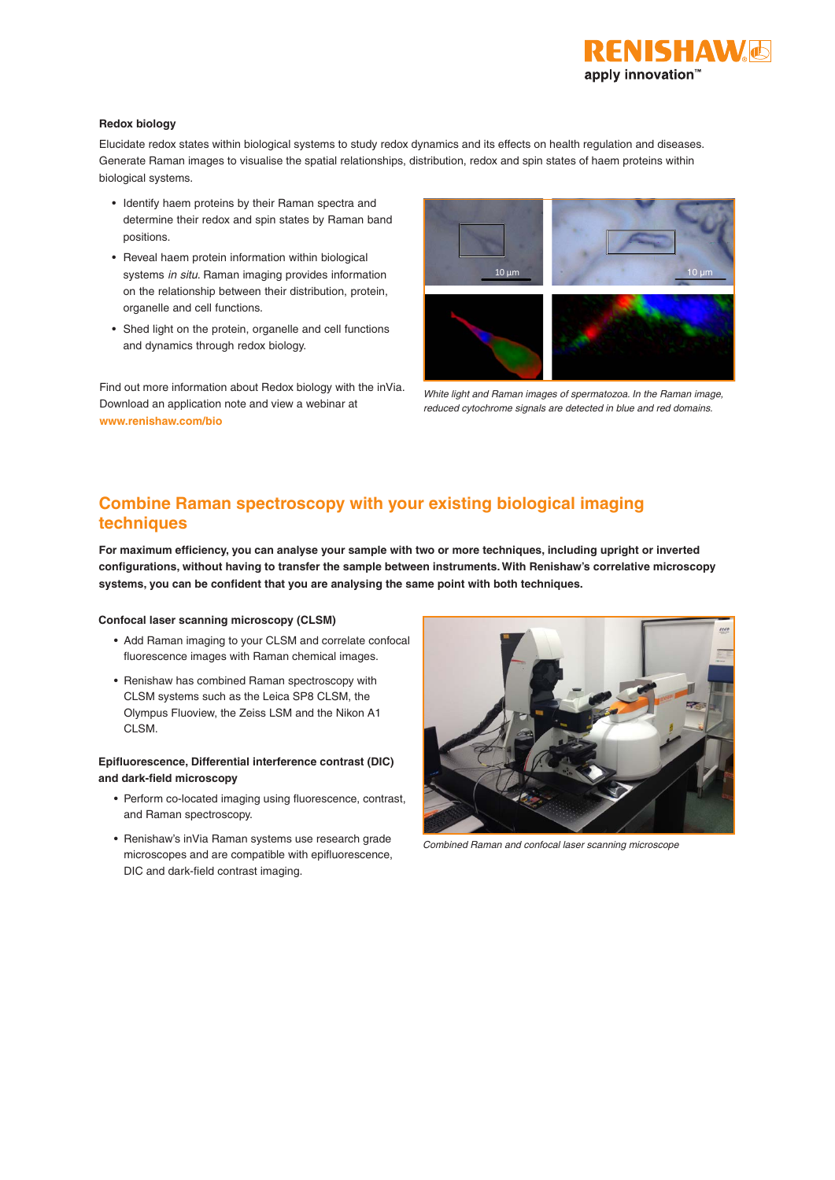

#### **Redox biology**

Elucidate redox states within biological systems to study redox dynamics and its effects on health regulation and diseases. Generate Raman images to visualise the spatial relationships, distribution, redox and spin states of haem proteins within biological systems.

- Identify haem proteins by their Raman spectra and determine their redox and spin states by Raman band positions.
- Reveal haem protein information within biological systems *in situ*. Raman imaging provides information on the relationship between their distribution, protein, organelle and cell functions.
- Shed light on the protein, organelle and cell functions and dynamics through redox biology.

Find out more information about Redox biology with the inVia. Download an application note and view a webinar at **www.renishaw.com/bio**



*White light and Raman images of spermatozoa. In the Raman image, reduced cytochrome signals are detected in blue and red domains.*

# **Combine Raman spectroscopy with your existing biological imaging techniques**

**For maximum efficiency, you can analyse your sample with two or more techniques, including upright or inverted configurations, without having to transfer the sample between instruments. With Renishaw's correlative microscopy systems, you can be confident that you are analysing the same point with both techniques.**

### **Confocal laser scanning microscopy (CLSM)**

- Add Raman imaging to your CLSM and correlate confocal fluorescence images with Raman chemical images.
- Renishaw has combined Raman spectroscopy with CLSM systems such as the Leica SP8 CLSM, the Olympus Fluoview, the Zeiss LSM and the Nikon A1 CLSM.

# **Epifluorescence, Differential interference contrast (DIC) and dark-field microscopy**

- Perform co-located imaging using fluorescence, contrast, and Raman spectroscopy.
- Renishaw's inVia Raman systems use research grade microscopes and are compatible with epifluorescence, DIC and dark-field contrast imaging.



*Combined Raman and confocal laser scanning microscope*